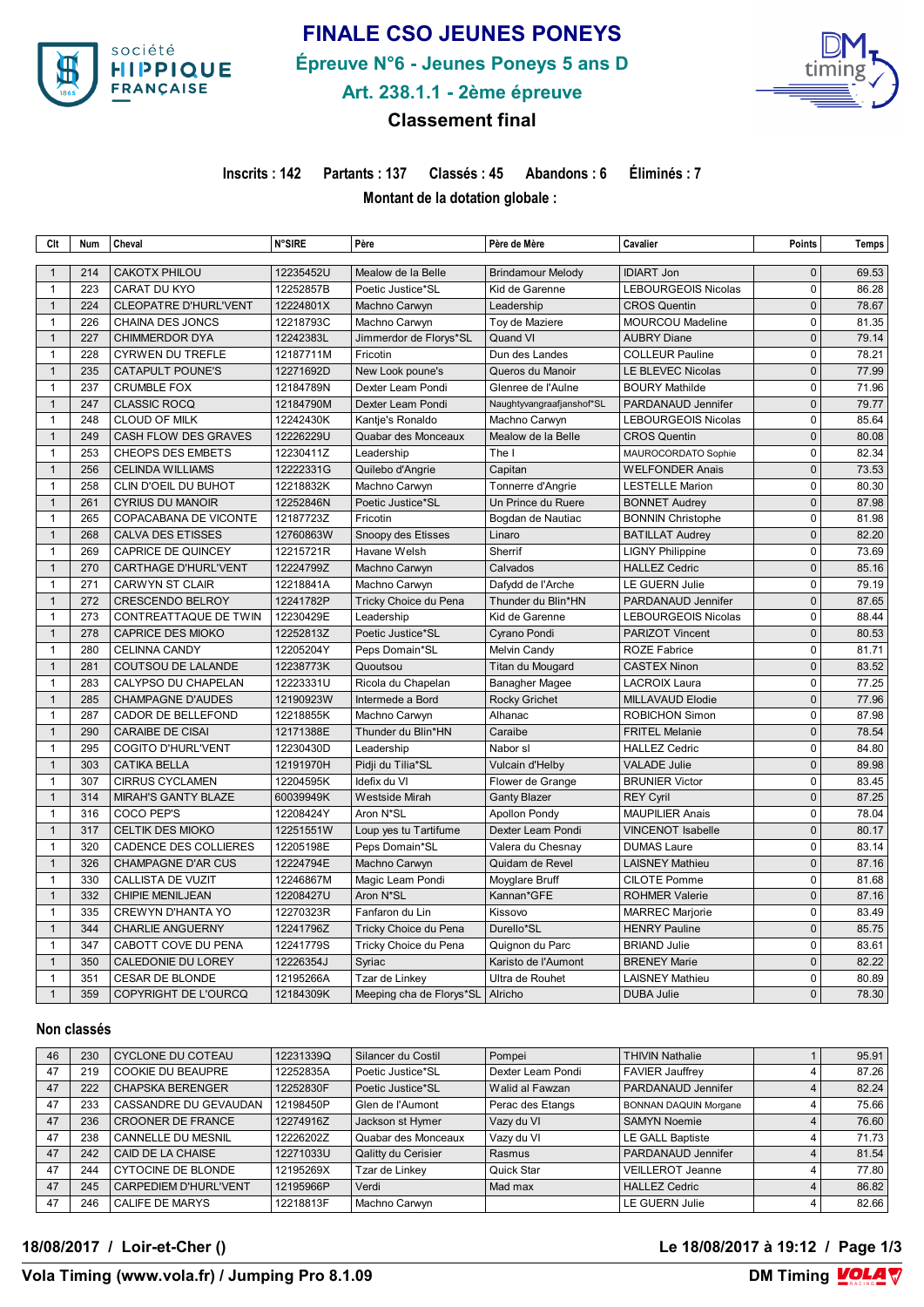

# **FINALE CSO JEUNES PONEYS**

**Épreuve N°6 - Jeunes Poneys 5 ans D**



**Art. 238.1.1 - 2ème épreuve**

## **Classement final**

**Inscrits : 142 Partants : 137 Classés : 45 Abandons : 6 Éliminés : 7**

**Montant de la dotation globale :** 

| Clt                          | <b>Num</b> | Cheval                       | <b>N°SIRE</b> | Père                     | Père de Mère              | Cavalier                                     | <b>Points</b>               | Temps |
|------------------------------|------------|------------------------------|---------------|--------------------------|---------------------------|----------------------------------------------|-----------------------------|-------|
|                              |            |                              |               |                          |                           |                                              | $\Omega$                    |       |
| $\mathbf{1}$                 | 214        | <b>CAKOTX PHILOU</b>         | 12235452U     | Mealow de la Belle       | <b>Brindamour Melody</b>  | <b>IDIART Jon</b>                            |                             | 69.53 |
| $\mathbf{1}$                 | 223        | <b>CARAT DU KYO</b>          | 12252857B     | Poetic Justice*SL        | Kid de Garenne            | <b>LEBOURGEOIS Nicolas</b>                   | $\mathbf 0$                 | 86.28 |
| $\mathbf{1}$                 | 224        | <b>CLEOPATRE D'HURL'VENT</b> | 12224801X     | Machno Carwyn            | Leadership                | <b>CROS Quentin</b>                          | $\pmb{0}$                   | 78.67 |
| $\mathbf{1}$                 | 226        | CHAINA DES JONCS             | 12218793C     | Machno Carwyn            | Toy de Maziere            | <b>MOURCOU Madeline</b>                      | $\mathbf 0$<br>$\mathbf 0$  | 81.35 |
| $\mathbf{1}$<br>$\mathbf{1}$ | 227<br>228 | <b>CHIMMERDOR DYA</b>        | 12242383L     | Jimmerdor de Florys*SL   | Quand VI                  | <b>AUBRY Diane</b><br><b>COLLEUR Pauline</b> | $\mathbf 0$                 | 79.14 |
|                              |            | <b>CYRWEN DU TREFLE</b>      | 12187711M     | Fricotin                 | Dun des Landes            |                                              |                             | 78.21 |
| $\mathbf{1}$                 | 235<br>237 | CATAPULT POUNE'S             | 12271692D     | New Look poune's         | Queros du Manoir          | <b>LE BLEVEC Nicolas</b>                     | $\mathbf{0}$<br>$\Omega$    | 77.99 |
| $\mathbf{1}$                 |            | <b>CRUMBLE FOX</b>           | 12184789N     | Dexter Leam Pondi        | Glenree de l'Aulne        | <b>BOURY Mathilde</b>                        |                             | 71.96 |
| $\mathbf{1}$                 | 247        | <b>CLASSIC ROCQ</b>          | 12184790M     | Dexter Leam Pondi        | Naughtyvangraafjanshof*SL | PARDANAUD Jennifer                           | $\mathbf{0}$                | 79.77 |
| $\mathbf{1}$                 | 248        | <b>CLOUD OF MILK</b>         | 12242430K     | Kantje's Ronaldo         | Machno Carwyn             | LEBOURGEOIS Nicolas                          | $\pmb{0}$<br>$\overline{0}$ | 85.64 |
| $\mathbf{1}$                 | 249        | CASH FLOW DES GRAVES         | 12226229U     | Quabar des Monceaux      | Mealow de la Belle        | <b>CROS Quentin</b>                          |                             | 80.08 |
| $\mathbf{1}$                 | 253        | CHEOPS DES EMBETS            | 12230411Z     | Leadership               | The I                     | MAUROCORDATO Sophie                          | $\mathbf 0$                 | 82.34 |
| $\mathbf{1}$                 | 256        | <b>CELINDA WILLIAMS</b>      | 12222331G     | Quilebo d'Angrie         | Capitan                   | <b>WELFONDER Anais</b>                       | $\Omega$                    | 73.53 |
| $\mathbf{1}$                 | 258        | CLIN D'OEIL DU BUHOT         | 12218832K     | Machno Carwyn            | Tonnerre d'Angrie         | <b>LESTELLE Marion</b>                       | $\mathbf 0$                 | 80.30 |
| $\mathbf{1}$                 | 261        | <b>CYRIUS DU MANOIR</b>      | 12252846N     | Poetic Justice*SL        | Un Prince du Ruere        | <b>BONNET Audrey</b>                         | $\Omega$                    | 87.98 |
| $\mathbf{1}$                 | 265        | COPACABANA DE VICONTE        | 12187723Z     | Fricotin                 | Bogdan de Nautiac         | <b>BONNIN Christophe</b>                     | 0                           | 81.98 |
| $\mathbf{1}$                 | 268        | <b>CALVA DES ETISSES</b>     | 12760863W     | Snoopy des Etisses       | Linaro                    | <b>BATILLAT Audrey</b>                       | $\pmb{0}$                   | 82.20 |
| $\mathbf{1}$                 | 269        | <b>CAPRICE DE QUINCEY</b>    | 12215721R     | Havane Welsh             | Sherrif                   | <b>LIGNY Philippine</b>                      | $\mathbf 0$                 | 73.69 |
| $\mathbf{1}$                 | 270        | <b>CARTHAGE D'HURL'VENT</b>  | 12224799Z     | Machno Carwyn            | Calvados                  | <b>HALLEZ Cedric</b>                         | $\mathbf{0}$                | 85.16 |
| $\mathbf{1}$                 | 271        | <b>CARWYN ST CLAIR</b>       | 12218841A     | Machno Carwyn            | Dafydd de l'Arche         | LE GUERN Julie                               | $\mathbf 0$                 | 79.19 |
| $\mathbf{1}$                 | 272        | <b>CRESCENDO BELROY</b>      | 12241782P     | Tricky Choice du Pena    | Thunder du Blin*HN        | PARDANAUD Jennifer                           | $\mathbf{0}$                | 87.65 |
| $\mathbf{1}$                 | 273        | CONTREATTAQUE DE TWIN        | 12230429E     | Leadership               | Kid de Garenne            | LEBOURGEOIS Nicolas                          | $\mathbf 0$                 | 88.44 |
| $\mathbf{1}$                 | 278        | <b>CAPRICE DES MIOKO</b>     | 12252813Z     | Poetic Justice*SL        | Cyrano Pondi              | PARIZOT Vincent                              | $\mathbf{0}$                | 80.53 |
| $\mathbf{1}$                 | 280        | <b>CELINNA CANDY</b>         | 12205204Y     | Peps Domain*SL           | Melvin Candy              | <b>ROZE Fabrice</b>                          | $\mathbf 0$                 | 81.71 |
| $\mathbf{1}$                 | 281        | COUTSOU DE LALANDE           | 12238773K     | Quoutsou                 | Titan du Mougard          | <b>CASTEX Ninon</b>                          | $\mathbf{0}$                | 83.52 |
| $\mathbf{1}$                 | 283        | CALYPSO DU CHAPELAN          | 12223331U     | Ricola du Chapelan       | Banagher Magee            | LACROIX Laura                                | $\mathbf 0$                 | 77.25 |
| $\mathbf{1}$                 | 285        | <b>CHAMPAGNE D'AUDES</b>     | 12190923W     | Intermede a Bord         | <b>Rocky Grichet</b>      | <b>MILLAVAUD Elodie</b>                      | $\mathbf{0}$                | 77.96 |
| $\mathbf{1}$                 | 287        | CADOR DE BELLEFOND           | 12218855K     | Machno Carwyn            | Alhanac                   | <b>ROBICHON Simon</b>                        | $\mathbf 0$                 | 87.98 |
| $\mathbf{1}$                 | 290        | <b>CARAIBE DE CISAI</b>      | 12171388E     | Thunder du Blin*HN       | Caraibe                   | <b>FRITEL Melanie</b>                        | $\mathbf 0$                 | 78.54 |
| $\mathbf{1}$                 | 295        | <b>COGITO D'HURL'VENT</b>    | 12230430D     | Leadership               | Nabor sl                  | <b>HALLEZ Cedric</b>                         | $\mathbf 0$                 | 84.80 |
| $\mathbf{1}$                 | 303        | <b>CATIKA BELLA</b>          | 12191970H     | Pidji du Tilia*SL        | Vulcain d'Helby           | <b>VALADE Julie</b>                          | $\pmb{0}$                   | 89.98 |
| $\mathbf{1}$                 | 307        | <b>CIRRUS CYCLAMEN</b>       | 12204595K     | Idefix du VI             | Flower de Grange          | <b>BRUNIER Victor</b>                        | $\mathbf 0$                 | 83.45 |
| $\mathbf{1}$                 | 314        | <b>MIRAH'S GANTY BLAZE</b>   | 60039949K     | <b>Westside Mirah</b>    | <b>Ganty Blazer</b>       | <b>REY Cyril</b>                             | $\mathbf{0}$                | 87.25 |
| $\mathbf{1}$                 | 316        | COCO PEP'S                   | 12208424Y     | Aron N*SL                | <b>Apollon Pondy</b>      | <b>MAUPILIER Anais</b>                       | $\mathbf 0$                 | 78.04 |
| $\mathbf{1}$                 | 317        | CELTIK DES MIOKO             | 12251551W     | Loup yes tu Tartifume    | Dexter Leam Pondi         | <b>VINCENOT Isabelle</b>                     | $\mathbf{0}$                | 80.17 |
| $\mathbf{1}$                 | 320        | CADENCE DES COLLIERES        | 12205198E     | Peps Domain*SL           | Valera du Chesnay         | <b>DUMAS Laure</b>                           | $\mathbf 0$                 | 83.14 |
| $\mathbf{1}$                 | 326        | <b>CHAMPAGNE D'AR CUS</b>    | 12224794E     | Machno Carwyn            | Quidam de Revel           | <b>LAISNEY Mathieu</b>                       | $\mathbf{0}$                | 87.16 |
| $\mathbf{1}$                 | 330        | <b>CALLISTA DE VUZIT</b>     | 12246867M     | Magic Leam Pondi         | Moyglare Bruff            | <b>CILOTE Pomme</b>                          | $\pmb{0}$                   | 81.68 |
| $\mathbf{1}$                 | 332        | <b>CHIPIE MENILJEAN</b>      | 12208427U     | Aron N*SL                | Kannan*GFE                | <b>ROHMER Valerie</b>                        | $\mathbf{0}$                | 87.16 |
| $\mathbf{1}$                 | 335        | <b>CREWYN D'HANTA YO</b>     | 12270323R     | Fanfaron du Lin          | Kissovo                   | <b>MARREC Marjorie</b>                       | $\mathbf 0$                 | 83.49 |
| $\mathbf{1}$                 | 344        | <b>CHARLIE ANGUERNY</b>      | 12241796Z     | Tricky Choice du Pena    | Durello*SL                | <b>HENRY Pauline</b>                         | $\Omega$                    | 85.75 |
| $\mathbf{1}$                 | 347        | CABOTT COVE DU PENA          | 12241779S     | Tricky Choice du Pena    | Quignon du Parc           | <b>BRIAND Julie</b>                          | 0                           | 83.61 |
| $\mathbf{1}$                 | 350        | CALEDONIE DU LOREY           | 12226354J     | Syriac                   | Karisto de l'Aumont       | <b>BRENEY Marie</b>                          | $\mathbf{0}$                | 82.22 |
| $\mathbf{1}$                 | 351        | <b>CESAR DE BLONDE</b>       | 12195266A     | Tzar de Linkey           | Ultra de Rouhet           | <b>LAISNEY Mathieu</b>                       | $\mathbf 0$                 | 80.89 |
| $\mathbf{1}$                 | 359        | COPYRIGHT DE L'OURCQ         | 12184309K     | Meeping cha de Florys*SL | Alricho                   | <b>DUBA Julie</b>                            | $\Omega$                    | 78.30 |

#### **Non classés**

| 46 | 230 | CYCLONE DU COTEAU         | 12231339Q | Silancer du Costil  | Pompei            | <b>THIVIN Nathalie</b>       | 95.91 |
|----|-----|---------------------------|-----------|---------------------|-------------------|------------------------------|-------|
| 47 | 219 | <b>COOKIE DU BEAUPRE</b>  | 12252835A | Poetic Justice*SL   | Dexter Leam Pondi | FAVIER Jauffrey              | 87.26 |
| 47 | 222 | <b>CHAPSKA BERENGER</b>   | 12252830F | Poetic Justice*SL   | l Walid al Fawzan | PARDANAUD Jennifer           | 82.24 |
| 47 | 233 | CASSANDRE DU GEVAUDAN     | 12198450P | Glen de l'Aumont    | Perac des Etangs  | <b>BONNAN DAQUIN Morgane</b> | 75.66 |
| 47 | 236 | <b>CROONER DE FRANCE</b>  | 12274916Z | Jackson st Hymer    | Vazy du VI        | <b>SAMYN Noemie</b>          | 76.60 |
| 47 | 238 | <b>CANNELLE DU MESNIL</b> | 12226202Z | Quabar des Monceaux | Vazy du VI        | LE GALL Baptiste             | 71.73 |
| 47 | 242 | CAID DE LA CHAISE         | 12271033U | Qalitty du Cerisier | Rasmus            | PARDANAUD Jennifer           | 81.54 |
| 47 | 244 | CYTOCINE DE BLONDE        | 12195269X | Tzar de Linkey      | Quick Star        | <b>VEILLEROT Jeanne</b>      | 77.80 |
| 47 | 245 | CARPEDIEM D'HURL'VENT     | 12195966P | Verdi               | Mad max           | <b>HALLEZ Cedric</b>         | 86.82 |
| 47 | 246 | <b>CALIFE DE MARYS</b>    | 12218813F | Machno Carwyn       |                   | <b>LE GUERN Julie</b>        | 82.66 |

**18/08/2017 / Loir-et-Cher () Le 18/08/2017 à 19:12 / Page 1/3**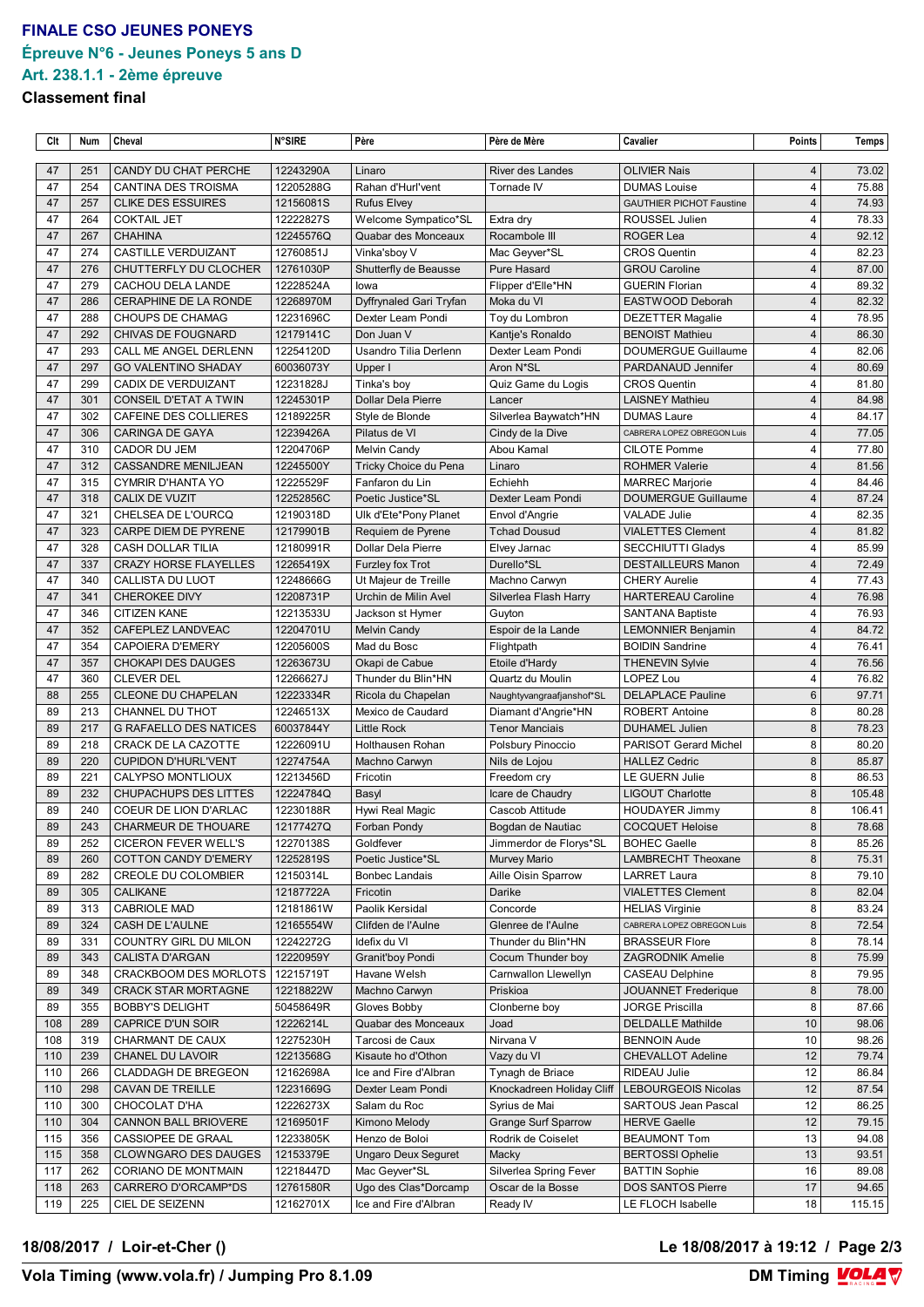## **FINALE CSO JEUNES PONEYS Épreuve N°6 - Jeunes Poneys 5 ans D Art. 238.1.1 - 2ème épreuve**

#### **Classement final**

| Clt | Num | Cheval                        | <b>N°SIRE</b> | Père                       | Père de Mère               | Cavalier                        | Points         | Temps  |
|-----|-----|-------------------------------|---------------|----------------------------|----------------------------|---------------------------------|----------------|--------|
|     |     |                               |               |                            |                            |                                 |                |        |
| 47  | 251 | CANDY DU CHAT PERCHE          | 12243290A     | Linaro                     | River des Landes           | <b>OLIVIER Nais</b>             | $\overline{4}$ | 73.02  |
| 47  | 254 | CANTINA DES TROISMA           | 12205288G     | Rahan d'Hurl'vent          | Tornade IV                 | <b>DUMAS Louise</b>             | $\overline{4}$ | 75.88  |
| 47  | 257 | <b>CLIKE DES ESSUIRES</b>     | 12156081S     | <b>Rufus Elvey</b>         |                            | <b>GAUTHIER PICHOT Faustine</b> | $\overline{4}$ | 74.93  |
| 47  | 264 | <b>COKTAIL JET</b>            | 12222827S     | Welcome Sympatico*SL       | Extra dry                  | ROUSSEL Julien                  | $\overline{4}$ | 78.33  |
| 47  | 267 | <b>CHAHINA</b>                | 12245576Q     | Quabar des Monceaux        | Rocambole III              | ROGER Lea                       | $\overline{4}$ | 92.12  |
| 47  | 274 | CASTILLE VERDUIZANT           | 12760851J     | Vinka'sboy V               | Mac Geyver*SL              | <b>CROS Quentin</b>             | 4              | 82.23  |
| 47  | 276 | CHUTTERFLY DU CLOCHER         | 12761030P     | Shutterfly de Beausse      | Pure Hasard                | <b>GROU Caroline</b>            | $\overline{4}$ | 87.00  |
| 47  | 279 | CACHOU DELA LANDE             | 12228524A     | lowa                       | Flipper d'Elle*HN          | <b>GUERIN Florian</b>           | 4              | 89.32  |
| 47  | 286 | CERAPHINE DE LA RONDE         | 12268970M     | Dyffrynaled Gari Tryfan    | Moka du VI                 | EASTWOOD Deborah                | $\overline{4}$ | 82.32  |
| 47  | 288 | <b>CHOUPS DE CHAMAG</b>       | 12231696C     | Dexter Leam Pondi          | Toy du Lombron             | <b>DEZETTER Magalie</b>         | 4              | 78.95  |
| 47  | 292 | <b>CHIVAS DE FOUGNARD</b>     | 12179141C     | Don Juan V                 | Kantie's Ronaldo           | <b>BENOIST Mathieu</b>          | $\overline{4}$ | 86.30  |
| 47  | 293 | CALL ME ANGEL DERLENN         | 12254120D     | Usandro Tilia Derlenn      | Dexter Leam Pondi          | <b>DOUMERGUE Guillaume</b>      | 4              | 82.06  |
| 47  | 297 | <b>GO VALENTINO SHADAY</b>    | 60036073Y     | Upper I                    | Aron N*SL                  | PARDANAUD Jennifer              | $\overline{4}$ | 80.69  |
| 47  | 299 | CADIX DE VERDUIZANT           | 12231828J     | Tinka's boy                | Quiz Game du Logis         | <b>CROS Quentin</b>             | 4              | 81.80  |
| 47  | 301 | CONSEIL D'ETAT A TWIN         | 12245301P     | <b>Dollar Dela Pierre</b>  | Lancer                     | <b>LAISNEY Mathieu</b>          | $\overline{4}$ | 84.98  |
| 47  | 302 | CAFEINE DES COLLIERES         | 12189225R     | Style de Blonde            | Silverlea Baywatch*HN      | <b>DUMAS Laure</b>              | 4              | 84.17  |
| 47  | 306 | <b>CARINGA DE GAYA</b>        | 12239426A     | Pilatus de VI              | Cindy de la Dive           | CABRERA LOPEZ OBREGON Luis      | $\overline{4}$ | 77.05  |
| 47  | 310 | CADOR DU JEM                  | 12204706P     | Melvin Candy               | Abou Kamal                 | <b>CILOTE Pomme</b>             | $\overline{4}$ | 77.80  |
| 47  | 312 | <b>CASSANDRE MENILJEAN</b>    | 12245500Y     | Tricky Choice du Pena      | Linaro                     | <b>ROHMER Valerie</b>           | $\overline{4}$ | 81.56  |
| 47  | 315 | <b>CYMRIR D'HANTA YO</b>      | 12225529F     | Fanfaron du Lin            | Echiehh                    | <b>MARREC Marjorie</b>          | $\overline{4}$ | 84.46  |
| 47  | 318 | <b>CALIX DE VUZIT</b>         | 12252856C     | Poetic Justice*SL          | Dexter Leam Pondi          | <b>DOUMERGUE Guillaume</b>      | $\overline{4}$ | 87.24  |
| 47  | 321 | CHELSEA DE L'OURCQ            | 12190318D     | Ulk d'Ete*Pony Planet      | Envol d'Angrie             | <b>VALADE Julie</b>             | $\overline{4}$ | 82.35  |
| 47  | 323 | CARPE DIEM DE PYRENE          | 12179901B     | Requiem de Pyrene          | <b>Tchad Dousud</b>        | <b>VIALETTES Clement</b>        | $\overline{4}$ | 81.82  |
| 47  | 328 | CASH DOLLAR TILIA             | 12180991R     | Dollar Dela Pierre         | Elvey Jarnac               | <b>SECCHIUTTI Gladys</b>        | $\overline{4}$ | 85.99  |
| 47  | 337 | <b>CRAZY HORSE FLAYELLES</b>  | 12265419X     | Furzley fox Trot           | Durello*SL                 | <b>DESTAILLEURS Manon</b>       | $\overline{4}$ | 72.49  |
| 47  | 340 | CALLISTA DU LUOT              | 12248666G     | Ut Majeur de Treille       | Machno Carwyn              | <b>CHERY Aurelie</b>            | $\overline{4}$ | 77.43  |
| 47  | 341 | <b>CHEROKEE DIVY</b>          | 12208731P     | Urchin de Milin Avel       | Silverlea Flash Harry      | <b>HARTEREAU Caroline</b>       | $\overline{4}$ | 76.98  |
| 47  | 346 | <b>CITIZEN KANE</b>           |               |                            |                            |                                 | 4              | 76.93  |
|     |     |                               | 12213533U     | Jackson st Hymer           | Guyton                     | <b>SANTANA Baptiste</b>         |                |        |
| 47  | 352 | CAFEPLEZ LANDVEAC             | 12204701U     | <b>Melvin Candy</b>        | Espoir de la Lande         | LEMONNIER Benjamin              | $\overline{4}$ | 84.72  |
| 47  | 354 | <b>CAPOIERA D'EMERY</b>       | 12205600S     | Mad du Bosc                | Flightpath                 | <b>BOIDIN Sandrine</b>          | $\overline{4}$ | 76.41  |
| 47  | 357 | <b>CHOKAPI DES DAUGES</b>     | 12263673U     | Okapi de Cabue             | Etoile d'Hardy             | <b>THENEVIN Sylvie</b>          | $\overline{4}$ | 76.56  |
| 47  | 360 | <b>CLEVER DEL</b>             | 12266627J     | Thunder du Blin*HN         | Quartz du Moulin           | LOPEZ Lou                       | $\overline{4}$ | 76.82  |
| 88  | 255 | <b>CLEONE DU CHAPELAN</b>     | 12223334R     | Ricola du Chapelan         | Naughtyvangraafjanshof*SL  | <b>DELAPLACE Pauline</b>        | 6              | 97.71  |
| 89  | 213 | CHANNEL DU THOT               | 12246513X     | Mexico de Caudard          | Diamant d'Angrie*HN        | <b>ROBERT Antoine</b>           | 8              | 80.28  |
| 89  | 217 | <b>G RAFAELLO DES NATICES</b> | 60037844Y     | <b>Little Rock</b>         | <b>Tenor Manciais</b>      | <b>DUHAMEL Julien</b>           | 8              | 78.23  |
| 89  | 218 | CRACK DE LA CAZOTTE           | 12226091U     | Holthausen Rohan           | Polsbury Pinoccio          | PARISOT Gerard Michel           | 8              | 80.20  |
| 89  | 220 | <b>CUPIDON D'HURL'VENT</b>    | 12274754A     | Machno Carwyn              | Nils de Lojou              | <b>HALLEZ Cedric</b>            | 8              | 85.87  |
| 89  | 221 | CALYPSO MONTLIOUX             | 12213456D     | Fricotin                   | Freedom cry                | <b>LE GUERN Julie</b>           | 8              | 86.53  |
| 89  | 232 | <b>CHUPACHUPS DES LITTES</b>  | 12224784Q     | Basyl                      | Icare de Chaudry           | <b>LIGOUT Charlotte</b>         | 8              | 105.48 |
| 89  | 240 | COEUR DE LION D'ARLAC         | 12230188R     | Hywi Real Magic            | Cascob Attitude            | <b>HOUDAYER Jimmy</b>           | 8              | 106.41 |
| 89  | 243 | CHARMEUR DE THOUARE           | 12177427Q     | Forban Pondy               | Bogdan de Nautiac          | <b>COCQUET Heloise</b>          | 8              | 78.68  |
| 89  | 252 | <b>CICERON FEVER WELL'S</b>   | 12270138S     | Goldfever                  | Jimmerdor de Florys*SL     | <b>BOHEC Gaelle</b>             | 8              | 85.26  |
| 89  | 260 | <b>COTTON CANDY D'EMERY</b>   | 12252819S     | Poetic Justice*SL          | Murvey Mario               | <b>LAMBRECHT Theoxane</b>       | $\bf 8$        | 75.31  |
| 89  | 282 | CREOLE DU COLOMBIER           | 12150314L     | Bonbec Landais             | Aille Oisin Sparrow        | <b>LARRET Laura</b>             | 8              | 79.10  |
| 89  | 305 | <b>CALIKANE</b>               | 12187722A     | Fricotin                   | Darike                     | <b>VIALETTES Clement</b>        | 8              | 82.04  |
| 89  | 313 | <b>CABRIOLE MAD</b>           | 12181861W     | Paolik Kersidal            | Concorde                   | <b>HELIAS Virginie</b>          | 8              | 83.24  |
| 89  | 324 | CASH DE L'AULNE               | 12165554W     | Clifden de l'Aulne         | Glenree de l'Aulne         | CABRERA LOPEZ OBREGON Luis      | 8              | 72.54  |
| 89  | 331 | COUNTRY GIRL DU MILON         | 12242272G     | Idefix du VI               | Thunder du Blin*HN         | <b>BRASSEUR Flore</b>           | 8              | 78.14  |
| 89  | 343 | <b>CALISTA D'ARGAN</b>        | 12220959Y     | Granit'boy Pondi           | Cocum Thunder boy          | <b>ZAGRODNIK Amelie</b>         | 8              | 75.99  |
| 89  | 348 | CRACKBOOM DES MORLOTS         | 12215719T     | Havane Welsh               | Carnwallon Llewellyn       | <b>CASEAU Delphine</b>          | 8              | 79.95  |
| 89  | 349 | <b>CRACK STAR MORTAGNE</b>    | 12218822W     | Machno Carwyn              | Priskioa                   | <b>JOUANNET Frederique</b>      | 8              | 78.00  |
| 89  | 355 | <b>BOBBY'S DELIGHT</b>        | 50458649R     | Gloves Bobby               | Clonberne boy              | <b>JORGE Priscilla</b>          | 8              | 87.66  |
| 108 | 289 | CAPRICE D'UN SOIR             | 12226214L     | Quabar des Monceaux        | Joad                       | <b>DELDALLE Mathilde</b>        | 10             | 98.06  |
| 108 | 319 | CHARMANT DE CAUX              | 12275230H     | Tarcosi de Caux            | Nirvana V                  | <b>BENNOIN Aude</b>             | 10             | 98.26  |
| 110 | 239 | CHANEL DU LAVOIR              | 12213568G     | Kisaute ho d'Othon         | Vazy du VI                 | <b>CHEVALLOT Adeline</b>        | 12             | 79.74  |
| 110 | 266 | <b>CLADDAGH DE BREGEON</b>    | 12162698A     | Ice and Fire d'Albran      |                            | RIDEAU Julie                    | 12             | 86.84  |
| 110 |     |                               |               |                            | Tynagh de Briace           |                                 | 12             |        |
|     | 298 | CAVAN DE TREILLE              | 12231669G     | Dexter Leam Pondi          | Knockadreen Holiday Cliff  | <b>LEBOURGEOIS Nicolas</b>      |                | 87.54  |
| 110 | 300 | CHOCOLAT D'HA                 | 12226273X     | Salam du Roc               | Syrius de Mai              | SARTOUS Jean Pascal             | 12             | 86.25  |
| 110 | 304 | CANNON BALL BRIOVERE          | 12169501F     | Kimono Melody              | <b>Grange Surf Sparrow</b> | <b>HERVE Gaelle</b>             | 12             | 79.15  |
| 115 | 356 | CASSIOPEE DE GRAAL            | 12233805K     | Henzo de Boloi             | Rodrik de Coiselet         | <b>BEAUMONT Tom</b>             | 13             | 94.08  |
| 115 | 358 | CLOWNGARO DES DAUGES          | 12153379E     | <b>Ungaro Deux Seguret</b> | Macky                      | <b>BERTOSSI Ophelie</b>         | 13             | 93.51  |
| 117 | 262 | CORIANO DE MONTMAIN           | 12218447D     | Mac Geyver*SL              | Silverlea Spring Fever     | <b>BATTIN Sophie</b>            | 16             | 89.08  |
| 118 | 263 | CARRERO D'ORCAMP*DS           | 12761580R     | Ugo des Clas*Dorcamp       | Oscar de la Bosse          | <b>DOS SANTOS Pierre</b>        | 17             | 94.65  |
| 119 | 225 | CIEL DE SEIZENN               | 12162701X     | Ice and Fire d'Albran      | Ready IV                   | LE FLOCH Isabelle               | 18             | 115.15 |

#### **18/08/2017 / Loir-et-Cher () Le 18/08/2017 à 19:12 / Page 2/3**